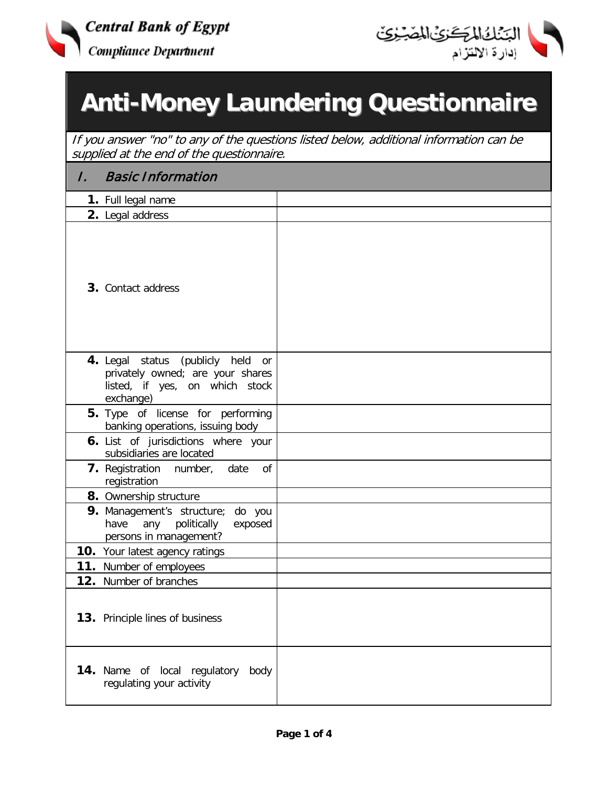



## **Anti-Money Laundering Questionnaire**

If you answer "no" to any of the questions listed below, additional information can be supplied at the end of the questionnaire.

| 7. | <b>Basic Information</b>                                                                                                |  |
|----|-------------------------------------------------------------------------------------------------------------------------|--|
|    | 1. Full legal name                                                                                                      |  |
|    | 2. Legal address                                                                                                        |  |
|    | 3. Contact address                                                                                                      |  |
|    | 4. Legal status (publicly held<br>or<br>privately owned; are your shares<br>listed, if yes, on which stock<br>exchange) |  |
|    | 5. Type of license for performing<br>banking operations, issuing body                                                   |  |
|    | 6. List of jurisdictions where your<br>subsidiaries are located                                                         |  |
|    | 7. Registration number, date<br>of<br>registration                                                                      |  |
|    | 8. Ownership structure                                                                                                  |  |
|    | <b>9.</b> Management's structure;<br>do you<br>any<br>politically<br>have<br>exposed<br>persons in management?          |  |
|    | <b>10.</b> Your latest agency ratings                                                                                   |  |
|    | 11. Number of employees                                                                                                 |  |
|    | 12. Number of branches                                                                                                  |  |
|    | 13. Principle lines of business                                                                                         |  |
|    | <b>14.</b> Name of local regulatory<br>body<br>regulating your activity                                                 |  |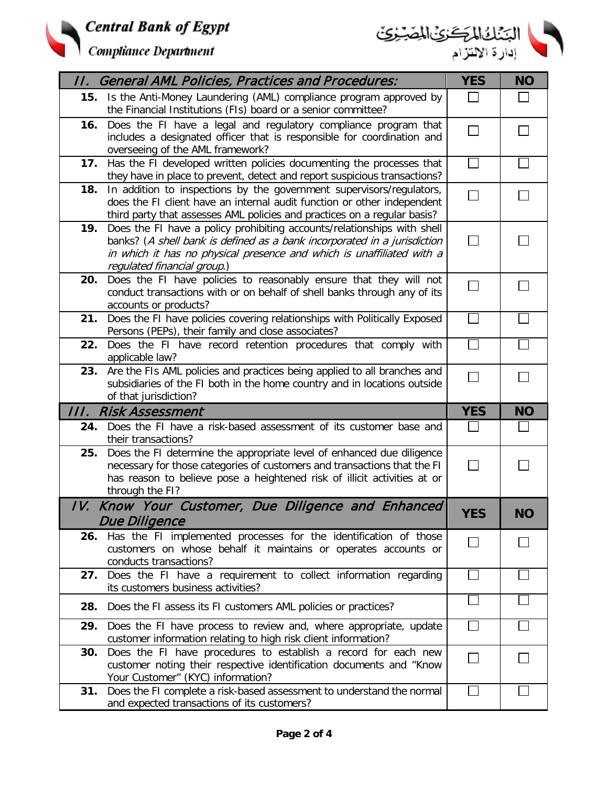



|     | II. General AML Policies, Practices and Procedures:                                                                                                                                                                                                         | <b>YES</b>   | <b>NO</b> |
|-----|-------------------------------------------------------------------------------------------------------------------------------------------------------------------------------------------------------------------------------------------------------------|--------------|-----------|
|     | 15. Is the Anti-Money Laundering (AML) compliance program approved by<br>the Financial Institutions (FIs) board or a senior committee?                                                                                                                      | $\mathsf{L}$ |           |
| 16. | Does the FI have a legal and regulatory compliance program that<br>includes a designated officer that is responsible for coordination and<br>overseeing of the AML framework?                                                                               | $\Box$       |           |
|     | 17. Has the FI developed written policies documenting the processes that<br>they have in place to prevent, detect and report suspicious transactions?                                                                                                       | $\Box$       |           |
| 18. | In addition to inspections by the government supervisors/regulators,<br>does the FI client have an internal audit function or other independent<br>third party that assesses AML policies and practices on a regular basis?                                 | П            |           |
| 19. | Does the FI have a policy prohibiting accounts/relationships with shell<br>banks? (A shell bank is defined as a bank incorporated in a jurisdiction<br>in which it has no physical presence and which is unaffiliated with a<br>regulated financial group.) | $\Box$       |           |
| 20. | Does the FI have policies to reasonably ensure that they will not<br>conduct transactions with or on behalf of shell banks through any of its<br>accounts or products?                                                                                      | $\sim$       |           |
| 21. | Does the FI have policies covering relationships with Politically Exposed<br>Persons (PEPs), their family and close associates?                                                                                                                             |              |           |
| 22. | Does the FI have record retention procedures that comply with<br>applicable law?                                                                                                                                                                            |              |           |
| 23. | Are the FIs AML policies and practices being applied to all branches and<br>subsidiaries of the FI both in the home country and in locations outside                                                                                                        | $\Box$       |           |
|     | of that jurisdiction?                                                                                                                                                                                                                                       |              |           |
|     | III. Risk Assessment                                                                                                                                                                                                                                        | <b>YES</b>   | <b>NO</b> |
| 24. | Does the FI have a risk-based assessment of its customer base and<br>their transactions?                                                                                                                                                                    |              |           |
| 25. | Does the FI determine the appropriate level of enhanced due diligence<br>necessary for those categories of customers and transactions that the FI<br>has reason to believe pose a heightened risk of illicit activities at or<br>through the FI?            |              |           |
|     | IV. Know Your Customer, Due Diligence and Enhanced                                                                                                                                                                                                          | <b>YES</b>   | <b>NU</b> |
|     | <b>Due Diligence</b>                                                                                                                                                                                                                                        |              |           |
|     | 26. Has the FI implemented processes for the identification of those<br>customers on whose behalf it maintains or operates accounts or<br>conducts transactions?                                                                                            | $\sim$       |           |
|     | 27. Does the FI have a requirement to collect information regarding<br>its customers business activities?                                                                                                                                                   |              |           |
| 28. | Does the FI assess its FI customers AML policies or practices?                                                                                                                                                                                              |              |           |
| 29. | Does the FI have process to review and, where appropriate, update<br>customer information relating to high risk client information?                                                                                                                         |              |           |
| 30. | Does the FI have procedures to establish a record for each new<br>customer noting their respective identification documents and "Know<br>Your Customer" (KYC) information?<br>Does the FI complete a risk-based assessment to understand the normal         |              |           |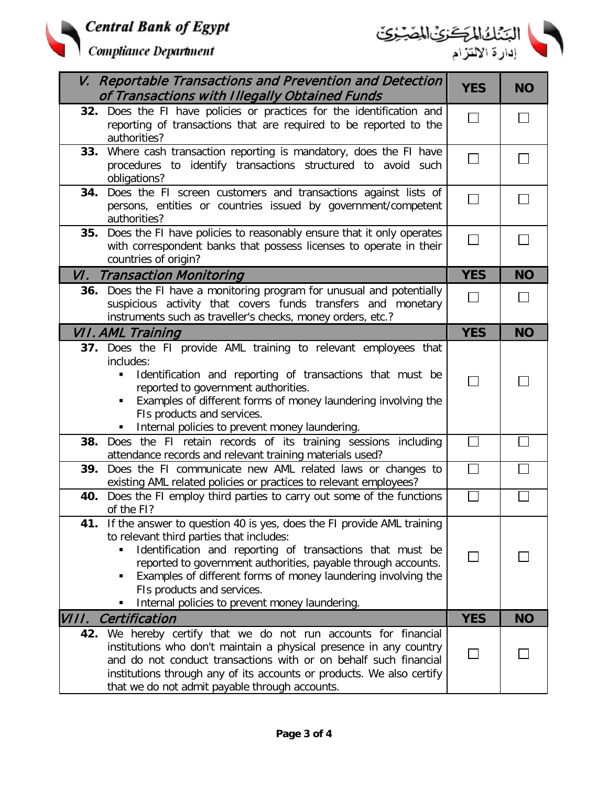



|       | V. Reportable Transactions and Prevention and Detection<br>of Transactions with Illegally Obtained Funds                                                                                                                                                                                                                                                                                                  | <b>YES</b> | <b>NO</b>    |
|-------|-----------------------------------------------------------------------------------------------------------------------------------------------------------------------------------------------------------------------------------------------------------------------------------------------------------------------------------------------------------------------------------------------------------|------------|--------------|
|       | 32. Does the FI have policies or practices for the identification and<br>reporting of transactions that are required to be reported to the<br>authorities?                                                                                                                                                                                                                                                |            | $\mathbf{I}$ |
| 33.   | Where cash transaction reporting is mandatory, does the FI have<br>procedures to identify transactions structured to avoid such<br>obligations?                                                                                                                                                                                                                                                           |            |              |
| 34.   | Does the FI screen customers and transactions against lists of<br>persons, entities or countries issued by government/competent<br>authorities?                                                                                                                                                                                                                                                           |            | $\mathbf{I}$ |
| 35.   | Does the FI have policies to reasonably ensure that it only operates<br>with correspondent banks that possess licenses to operate in their<br>countries of origin?                                                                                                                                                                                                                                        |            |              |
|       | <b>VI. Transaction Monitoring</b>                                                                                                                                                                                                                                                                                                                                                                         | <b>YES</b> | <b>NO</b>    |
|       | 36. Does the FI have a monitoring program for unusual and potentially<br>suspicious activity that covers funds transfers and monetary<br>instruments such as traveller's checks, money orders, etc.?                                                                                                                                                                                                      |            | $\mathbf{I}$ |
|       | VII. AML Training                                                                                                                                                                                                                                                                                                                                                                                         | <b>YES</b> | <b>NO</b>    |
|       | 37. Does the FI provide AML training to relevant employees that<br>includes:<br>Identification and reporting of transactions that must be<br>٠<br>reported to government authorities.<br>Examples of different forms of money laundering involving the<br>FIs products and services.<br>Internal policies to prevent money laundering.                                                                    |            |              |
|       | 38. Does the FI retain records of its training sessions including<br>attendance records and relevant training materials used?                                                                                                                                                                                                                                                                             |            |              |
| 39.   | Does the FI communicate new AML related laws or changes to<br>existing AML related policies or practices to relevant employees?                                                                                                                                                                                                                                                                           |            |              |
| 40.   | Does the FI employ third parties to carry out some of the functions<br>of the FI?                                                                                                                                                                                                                                                                                                                         |            |              |
|       | 41. If the answer to question 40 is yes, does the FI provide AML training<br>to relevant third parties that includes:<br>Identification and reporting of transactions that must be<br>reported to government authorities, payable through accounts.<br>Examples of different forms of money laundering involving the<br>٠<br>FIs products and services.<br>Internal policies to prevent money laundering. |            |              |
| VIII. | Certification                                                                                                                                                                                                                                                                                                                                                                                             | <b>YES</b> | <b>NO</b>    |
| 42.   | We hereby certify that we do not run accounts for financial<br>institutions who don't maintain a physical presence in any country<br>and do not conduct transactions with or on behalf such financial<br>institutions through any of its accounts or products. We also certify<br>that we do not admit payable through accounts.                                                                          |            |              |